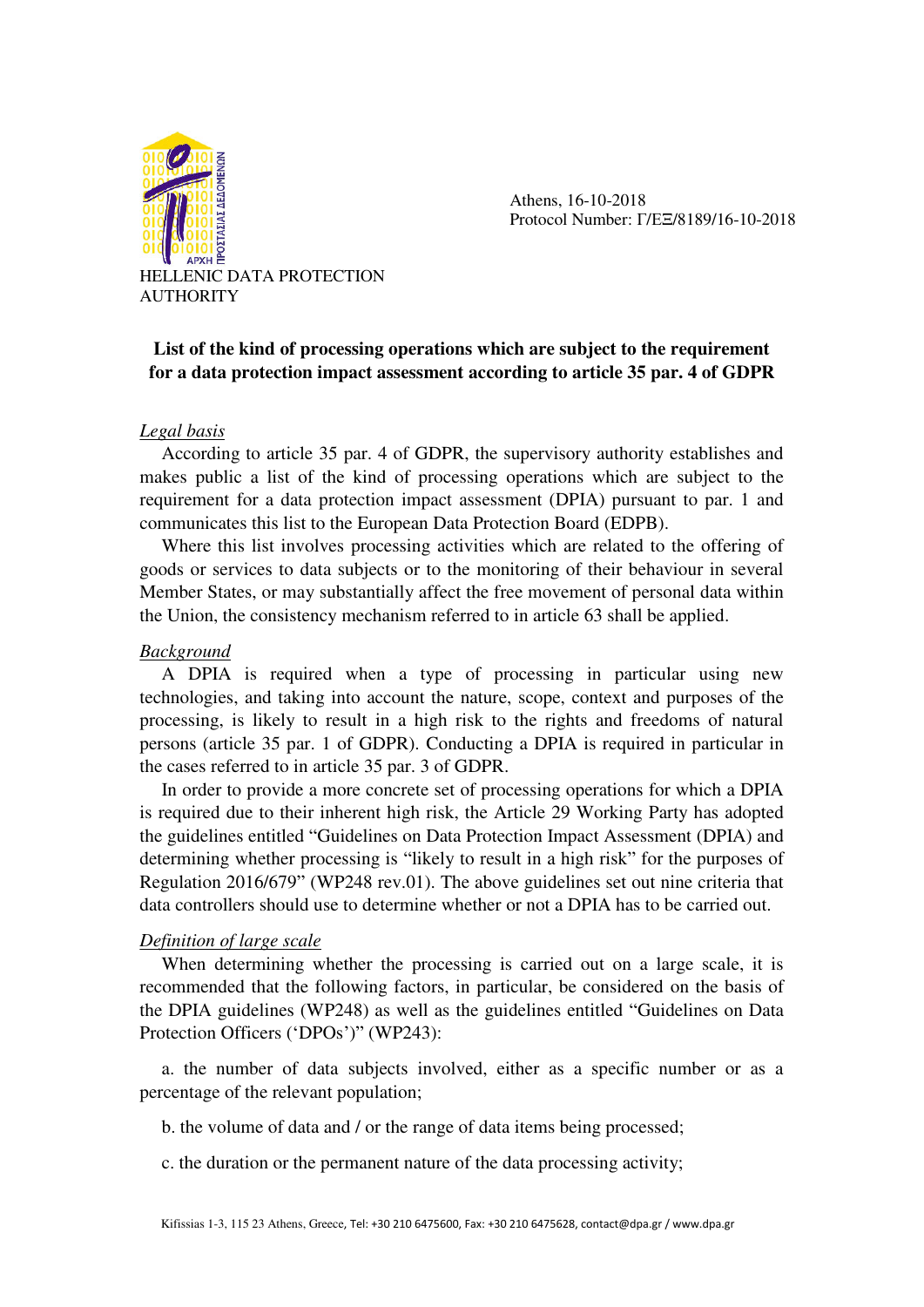

 Athens, 16-10-2018 Protocol Number: Γ/ΕΞ/8189/16-10-2018

HELLENIC DATA PROTECTION AUTHORITY

# **List of the kind of processing operations which are subject to the requirement for a data protection impact assessment according to article 35 par. 4 of GDPR**

### *Legal basis*

According to article 35 par. 4 of GDPR, the supervisory authority establishes and makes public a list of the kind of processing operations which are subject to the requirement for a data protection impact assessment (DPIA) pursuant to par. 1 and communicates this list to the European Data Protection Board (EDPB).

Where this list involves processing activities which are related to the offering of goods or services to data subjects or to the monitoring of their behaviour in several Member States, or may substantially affect the free movement of personal data within the Union, the consistency mechanism referred to in article 63 shall be applied.

#### *Background*

A DPIA is required when a type of processing in particular using new technologies, and taking into account the nature, scope, context and purposes of the processing, is likely to result in a high risk to the rights and freedoms of natural persons (article 35 par. 1 of GDPR). Conducting a DPIA is required in particular in the cases referred to in article 35 par. 3 of GDPR.

In order to provide a more concrete set of processing operations for which a DPIA is required due to their inherent high risk, the Article 29 Working Party has adopted the guidelines entitled "Guidelines on Data Protection Impact Assessment (DPIA) and determining whether processing is "likely to result in a high risk" for the purposes of Regulation 2016/679" (WP248 rev.01). The above guidelines set out nine criteria that data controllers should use to determine whether or not a DPIA has to be carried out.

### *Definition of large scale*

When determining whether the processing is carried out on a large scale, it is recommended that the following factors, in particular, be considered on the basis of the DPIA guidelines (WP248) as well as the guidelines entitled "Guidelines on Data Protection Officers ('DPOs')" (WP243):

a. the number of data subjects involved, either as a specific number or as a percentage of the relevant population;

b. the volume of data and / or the range of data items being processed;

c. the duration or the permanent nature of the data processing activity;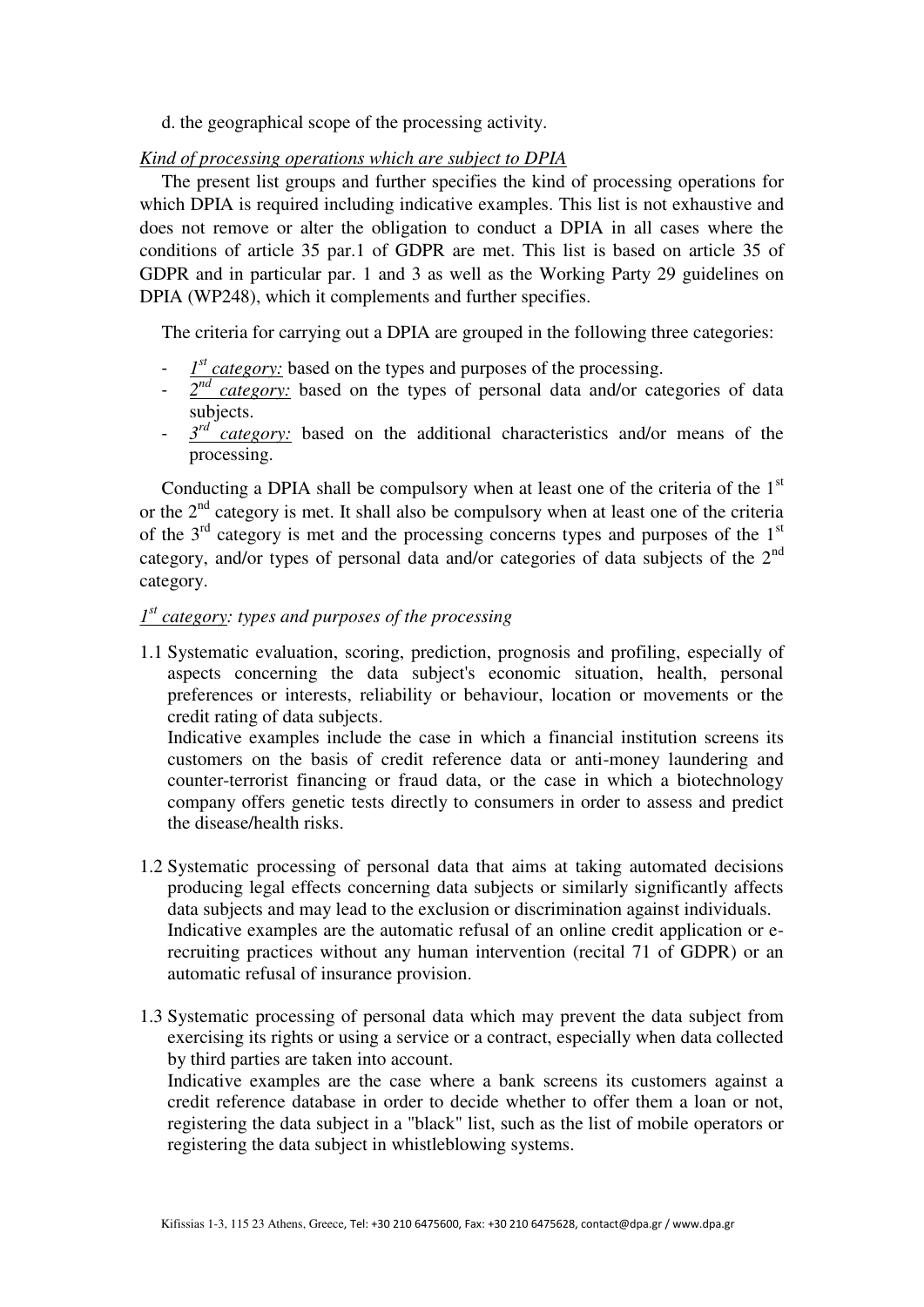d. the geographical scope of the processing activity.

### *Kind of processing operations which are subject to DPIA*

The present list groups and further specifies the kind of processing operations for which DPIA is required including indicative examples. This list is not exhaustive and does not remove or alter the obligation to conduct a DPIA in all cases where the conditions of article 35 par.1 of GDPR are met. This list is based on article 35 of GDPR and in particular par. 1 and 3 as well as the Working Party 29 guidelines on DPIA (WP248), which it complements and further specifies.

The criteria for carrying out a DPIA are grouped in the following three categories:

- $\frac{1^{st} \text{category:}}{s}$  based on the types and purposes of the processing.
- $2^{nd}$  *category:* based on the types of personal data and/or categories of data subjects.
- $\frac{3^{rd}}{\sqrt{1-x^2}}$  *category:* based on the additional characteristics and/or means of the processing.

Conducting a DPIA shall be compulsory when at least one of the criteria of the  $1<sup>st</sup>$ or the  $2<sup>nd</sup>$  category is met. It shall also be compulsory when at least one of the criteria of the  $3<sup>rd</sup>$  category is met and the processing concerns types and purposes of the  $1<sup>st</sup>$ category, and/or types of personal data and/or categories of data subjects of the  $2<sup>nd</sup>$ category.

## *st 1 category: types and purposes of the processing*

1.1 Systematic evaluation, scoring, prediction, prognosis and profiling, especially of aspects concerning the data subject's economic situation, health, personal preferences or interests, reliability or behaviour, location or movements or the credit rating of data subjects.

Indicative examples include the case in which a financial institution screens its customers on the basis of credit reference data or anti-money laundering and counter-terrorist financing or fraud data, or the case in which a biotechnology company offers genetic tests directly to consumers in order to assess and predict the disease/health risks.

- 1.2 Systematic processing of personal data that aims at taking automated decisions producing legal effects concerning data subjects or similarly significantly affects data subjects and may lead to the exclusion or discrimination against individuals. Indicative examples are the automatic refusal of an online credit application or erecruiting practices without any human intervention (recital 71 of GDPR) or an automatic refusal of insurance provision.
- 1.3 Systematic processing of personal data which may prevent the data subject from exercising its rights or using a service or a contract, especially when data collected by third parties are taken into account.

Indicative examples are the case where a bank screens its customers against a credit reference database in order to decide whether to offer them a loan or not, registering the data subject in a "black" list, such as the list of mobile operators or registering the data subject in whistleblowing systems.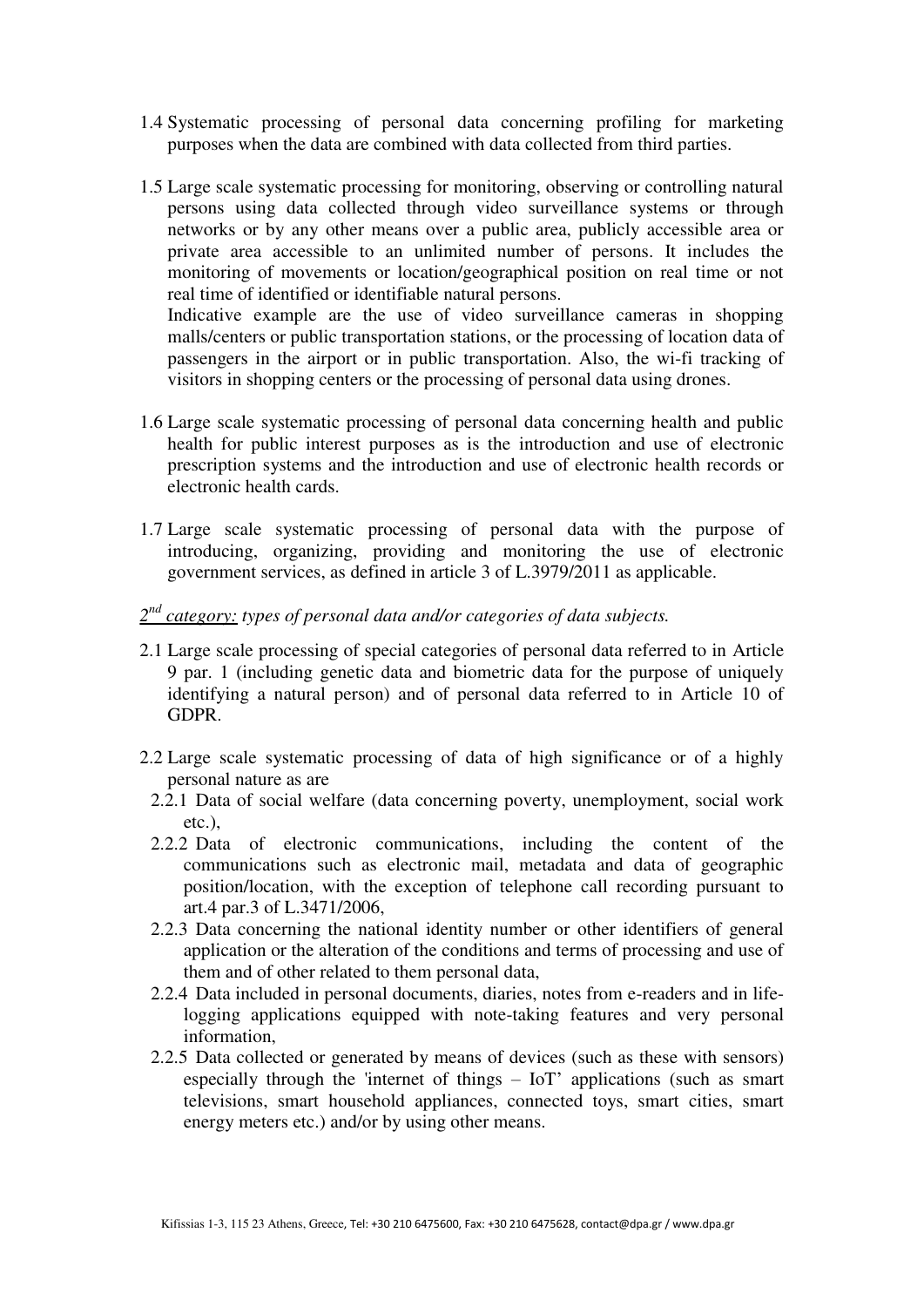- 1.4 Systematic processing of personal data concerning profiling for marketing purposes when the data are combined with data collected from third parties.
- 1.5 Large scale systematic processing for monitoring, observing or controlling natural persons using data collected through video surveillance systems or through networks or by any other means over a public area, publicly accessible area or private area accessible to an unlimited number of persons. It includes the monitoring of movements or location/geographical position on real time or not real time of identified or identifiable natural persons. Indicative example are the use of video surveillance cameras in shopping malls/centers or public transportation stations, or the processing of location data of passengers in the airport or in public transportation. Also, the wi-fi tracking of visitors in shopping centers or the processing of personal data using drones.
- 1.6 Large scale systematic processing of personal data concerning health and public health for public interest purposes as is the introduction and use of electronic prescription systems and the introduction and use of electronic health records or electronic health cards.
- 1.7 Large scale systematic processing of personal data with the purpose of introducing, organizing, providing and monitoring the use of electronic government services, as defined in article 3 of L.3979/2011 as applicable.
- *nd 2 category: types of personal data and/or categories of data subjects.*
- 2.1 Large scale processing of special categories of personal data referred to in Article 9 par. 1 (including genetic data and biometric data for the purpose of uniquely identifying a natural person) and of personal data referred to in Article 10 of GDPR.
- 2.2 Large scale systematic processing of data of high significance or of a highly personal nature as are
	- 2.2.1 Data of social welfare (data concerning poverty, unemployment, social work etc.),
	- 2.2.2 Data of electronic communications, including the content of the communications such as electronic mail, metadata and data of geographic position/location, with the exception of telephone call recording pursuant to art.4 par.3 of L.3471/2006,
	- 2.2.3 Data concerning the national identity number or other identifiers of general application or the alteration of the conditions and terms of processing and use of them and of other related to them personal data,
	- 2.2.4 Data included in personal documents, diaries, notes from e-readers and in lifelogging applications equipped with note-taking features and very personal information,
	- 2.2.5 Data collected or generated by means of devices (such as these with sensors) especially through the 'internet of things – IoT' applications (such as smart televisions, smart household appliances, connected toys, smart cities, smart energy meters etc.) and/or by using other means.